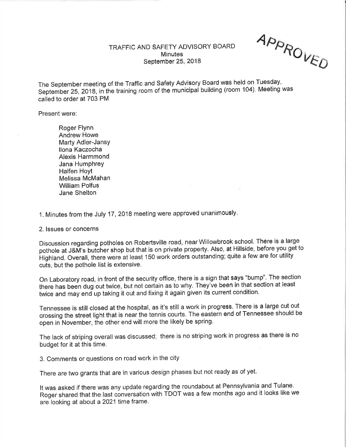## TRAFFIC AND SAFETY ADVISORY BOARD **Minutes** September 25,2018

APPROVED

-a)

The September meeting of the Tratfic and Safety Advisory Board was held on Tuesday, September 25, 2018, in the training room of the municipal building (room 104). Meeting was called to order at 703 PM

Present were:

Roger Flynn Andrew Howe Marty Adler-JansY llona Kaczocha Alexis Harmmond Jana Humphrey Halfen Hoyt Melissa McMahan William Polfus Jane Shelton

1. Minutes from the July 17, 2018 meeting were approved unanimously.

## 2. lssues or concerns

Discussion regarding potholes on Robertsville road, near Willowbrook school. There is a large pothole at J&M's butcher shop but that is on private property. Also, at Hillside, before you get to Highland. Overall, there were at least 150 work orders outstanding; quite a few are for utility cuts, but the pothole list is extensive.

On Laboratory road, in front of the security office, there is a sign that says "bump", The section there has been dug out twice, but not certain as to why. They've been in that section at least twice and may end up taking it out and fixing it again given its current condition.

Tennessee is still closed at the hospital, as it's still a work in progress. There is a large cut out crossing the street light that is near the tennis courts. The eastern end of Tennessee should be open in November, the other end will more the likely be spring.

The lack of striping overall was discussed; there is no striping work in progress as there is no budget for it at this time.

3. Comments or questions on road work in the city

There are two grants that are in various design phases but not ready as of yet.

It was asked if there was any update regarding the roundabout at Pennsylvania and Tulane. Roger shared that the last conversation with TDOT was a few months ago and it looks like we are looking at about a 2021 time frame.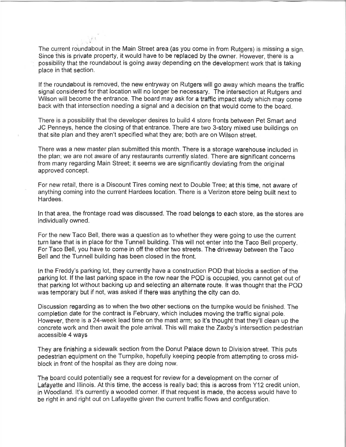The current roundabout in the Main Street area (as you come in from Rutgers) is missing a sign. Since this is private property, it would have to be replaced by the owner. However, there is a possibility that the roundabout is going away depending on the development work that is taking place in that section.

lf the roundabout is removed, the new entryway on Rutgers will go away which means the traffic signal considered for that location will no longer be necessary. The intersection at Rutgers and Wilson will become the entrance. The board may ask for a traffic impact study which may come back with that intersection needing a signal and a decision on that would come to the board.

There is a possibiiity that ihe deveioper desires io buiid 4 store fronts between Pet Smart and JC Penneys, hence the closing of that entrance. There are two 3-story mixed use buildings on that site plan and they aren't specified what they are; both are on Wilson street.

There was a new master plan submitted this month. There is a storage warehouse included in the plan; we are not aware of any restaurants currently slated. There are signifícant concerns from many regarding Main Street; it seems we are significantly doviating from the original approved concept.

For new retail, there is a Discount Tires coming next to Double Tree; at this time, not aware of anything coming into the current Hardees location. There is a Verizon store being built next to Hardees.

ln that area, the frontage road was discussed. The road belongs to each store, as the stores are individually owned.

For the new Taco Bell, there was a question as to whether they were going to use the current turn lane that is in place for the Tunnell building. This will not enter into the Taco Bell property For Taco Bell, you have to come in off the other two streets. The driveway between the Taco Bell and the Tunnell building has been closed in the front.

ln the Freddy's parking lot, they currently have a construction POD that blocks a section of the parking lot. lf the last parking space in the row near the POD is occupied, you cannot get out of that parking lot without backing up and selecting an alternate route. lt was thought that the POD was temporary but if not, was asked if there was anything the city can do.

Discussion regarding as to when the two other sections on the turnpike would be finished. The eompletion date for the contract is February, which includes moving the traffic signal pole. However, there is a 24-week lead time on the mast arm; so it's thought that they'll clean up the concrete work and then await the pole arrival. This will make the Zaxby's intersection pedestrian accessible 4 ways

They are finíshing a sidewalk section from the Donut Palace down to Division street. This puts pedestrian equipment on the Turnpike, hopefully keeping people from attempting to cross midblock in front of the hospital as they are doing now.

The þoard could potentially see a request for review for a development on the corner of Lafayette and Illinois. At this time, the access is really bad; this is across from Y12 credit union, in Woodland. lt's currently a wooded corner. lf that request is made, the access would have to be right in and right out on Lafayette given the current traffic flows and configuration.